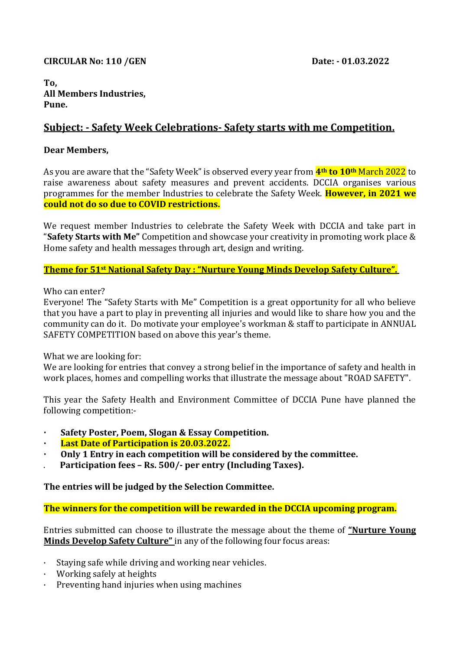### **CIRCULAR No: 110 /GEN Date: - 01.03.2022**

#### **To, All Members Industries, Pune.**

# **Subject: - Safety Week Celebrations- Safety starts with me Competition.**

### **Dear Members,**

As you are aware that the "Safety Week" is observed every year from **4th to 10th** March 2022 to raise awareness about safety measures and prevent accidents. DCCIA organises various programmes for the member Industries to celebrate the Safety Week. **However, in 2021 we could not do so due to COVID restrictions.**

We request member Industries to celebrate the Safety Week with DCCIA and take part in "**Safety Starts with Me"** Competition and showcase your creativity in promoting work place & Home safety and health messages through art, design and writing.

#### **Theme for 51st National Safety Day : "Nurture Young Minds Develop Safety Culture".**

Who can enter?

Everyone! The "Safety Starts with Me" Competition is a great opportunity for all who believe that you have a part to play in preventing all injuries and would like to share how you and the community can do it. Do motivate your employee's workman & staff to participate in ANNUAL SAFETY COMPETITION based on above this year's theme.

What we are looking for:

We are looking for entries that convey a strong belief in the importance of safety and health in work places, homes and compelling works that illustrate the message about "ROAD SAFETY".

This year the Safety Health and Environment Committee of DCCIA Pune have planned the following competition:-

- **· Safety Poster, Poem, Slogan & Essay Competition.**
- **· Last Date of Participation is 20.03.2022.**
- **· Only 1 Entry in each competition will be considered by the committee.**
- . **Participation fees – Rs. 500/- per entry (Including Taxes).**

## **The entries will be judged by the Selection Committee.**

**The winners for the competition will be rewarded in the DCCIA upcoming program.**

Entries submitted can choose to illustrate the message about the theme of **"Nurture Young Minds Develop Safety Culture"** in any of the following four focus areas:

- · Staying safe while driving and working near vehicles.
- · Working safely at heights
- · Preventing hand injuries when using machines